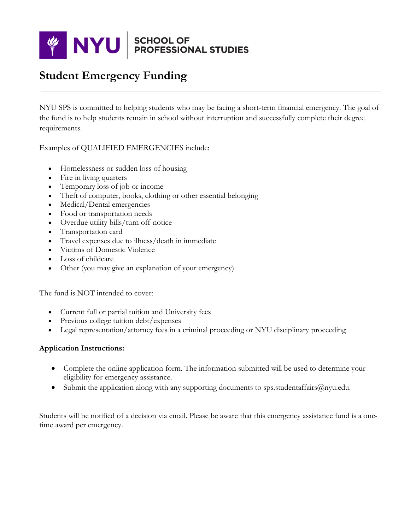

## **Student Emergency Funding**

NYU SPS is committed to helping students who may be facing a short-term financial emergency. The goal of the fund is to help students remain in school without interruption and successfully complete their degree requirements.

Examples of QUALIFIED EMERGENCIES include:

- Homelessness or sudden loss of housing
- Fire in living quarters
- Temporary loss of job or income
- Theft of computer, books, clothing or other essential belonging
- Medical/Dental emergencies
- Food or transportation needs
- Overdue utility bills/turn off-notice
- Transportation card
- Travel expenses due to illness/death in immediate
- Victims of Domestic Violence
- Loss of childcare
- Other (you may give an explanation of your emergency)

The fund is NOT intended to cover:

- Current full or partial tuition and University fees
- Previous college tuition debt/expenses
- Legal representation/attorney fees in a criminal proceeding or NYU disciplinary proceeding

## **Application Instructions:**

- Complete the online application form. The information submitted will be used to determine your eligibility for emergency assistance.
- Submit the application along with any supporting documents to sps.studentaffairs@nyu.edu.

Students will be notified of a decision via email. Please be aware that this emergency assistance fund is a onetime award per emergency.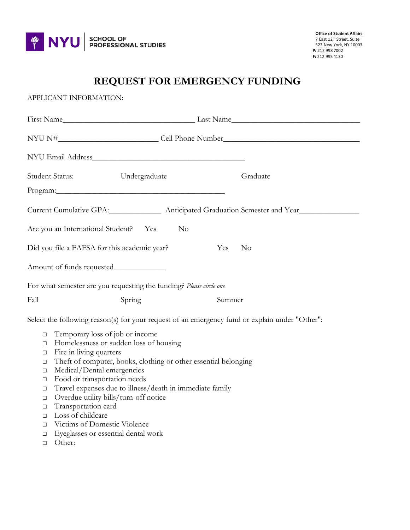

## **REQUEST FOR EMERGENCY FUNDING**

APPLICANT INFORMATION: First Name\_\_\_\_\_\_\_\_\_\_\_\_\_\_\_\_\_\_\_\_\_\_\_\_\_\_\_\_\_\_\_\_\_ Last Name\_\_\_\_\_\_\_\_\_\_\_\_\_\_\_\_\_\_\_\_\_\_\_\_\_\_\_\_\_\_\_\_ NYU N#\_\_\_\_\_\_\_\_\_\_\_\_\_\_\_\_\_\_\_\_\_\_\_\_\_\_\_\_\_\_\_Cell Phone Number\_\_\_\_\_\_\_\_\_\_\_\_\_\_\_\_\_\_\_\_\_\_\_\_\_\_\_ NYU Email Address\_\_\_\_\_\_\_\_\_\_\_\_\_\_\_\_\_\_\_\_\_\_\_\_\_\_\_\_\_\_\_\_\_\_\_\_\_\_ Student Status: Undergraduate Graduate Graduate Program:\_\_\_\_\_\_\_\_\_\_\_\_\_\_\_\_\_\_\_\_\_\_\_\_\_\_\_\_\_\_\_\_\_\_\_\_\_\_\_\_\_\_ Current Cumulative GPA:\_\_\_\_\_\_\_\_\_\_\_\_\_\_ Anticipated Graduation Semester and Year\_\_\_\_\_\_\_\_\_\_\_\_\_\_\_\_\_\_\_\_\_\_ Are you an International Student? Yes No Did you file a FAFSA for this academic year? Yes No Amount of funds requested\_\_\_\_\_\_\_\_\_\_\_\_\_ For what semester are you requesting the funding? *Please circle one* Fall Spring Summer Select the following reason(s) for your request of an emergency fund or explain under "Other":

- □ Temporary loss of job or income
- □ Homelessness or sudden loss of housing
- □ Fire in living quarters
- □ Theft of computer, books, clothing or other essential belonging
- □ Medical/Dental emergencies
- □ Food or transportation needs
- □ Travel expenses due to illness/death in immediate family
- □ Overdue utility bills/turn-off notice
- □ Transportation card
- □ Loss of childcare
- □ Victims of Domestic Violence
- □ Eyeglasses or essential dental work
- □ Other: